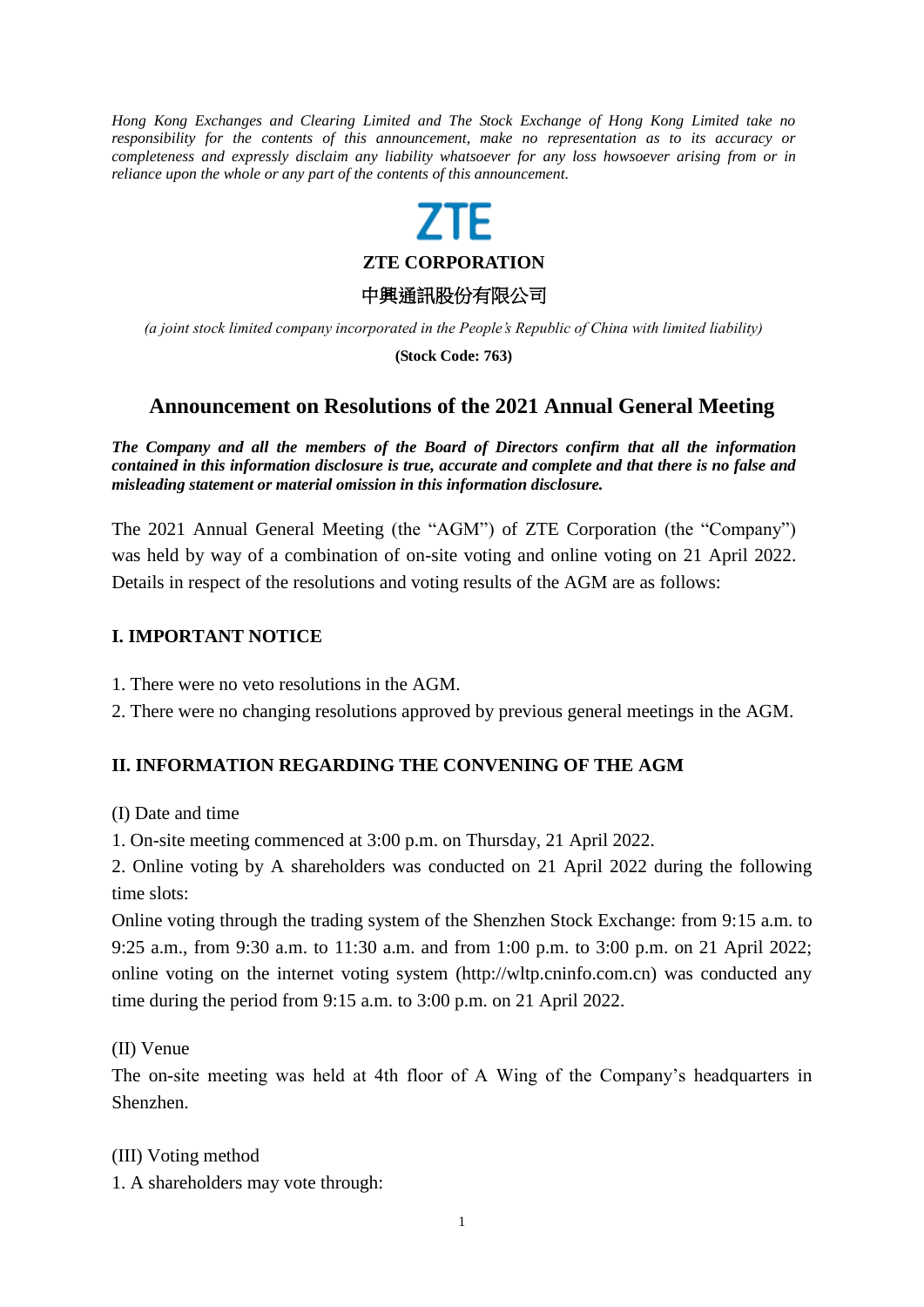*Hong Kong Exchanges and Clearing Limited and The Stock Exchange of Hong Kong Limited take no responsibility for the contents of this announcement, make no representation as to its accuracy or completeness and expressly disclaim any liability whatsoever for any loss howsoever arising from or in reliance upon the whole or any part of the contents of this announcement.*

**ZTE CORPORATION**

中興通訊股份有限公司

*(a joint stock limited company incorporated in the People's Republic of China with limited liability)*

**(Stock Code: 763)**

# **Announcement on Resolutions of the 2021 Annual General Meeting**

*The Company and all the members of the Board of Directors confirm that all the information contained in this information disclosure is true, accurate and complete and that there is no false and misleading statement or material omission in this information disclosure.*

The 2021 Annual General Meeting (the "AGM") of ZTE Corporation (the "Company") was held by way of a combination of on-site voting and online voting on 21 April 2022. Details in respect of the resolutions and voting results of the AGM are as follows:

#### **I. IMPORTANT NOTICE**

- 1. There were no veto resolutions in the AGM.
- 2. There were no changing resolutions approved by previous general meetings in the AGM.

## **II. INFORMATION REGARDING THE CONVENING OF THE AGM**

(I) Date and time

1. On-site meeting commenced at 3:00 p.m. on Thursday, 21 April 2022.

2. Online voting by A shareholders was conducted on 21 April 2022 during the following time slots:

Online voting through the trading system of the Shenzhen Stock Exchange: from 9:15 a.m. to 9:25 a.m., from 9:30 a.m. to 11:30 a.m. and from 1:00 p.m. to 3:00 p.m. on 21 April 2022; online voting on the internet voting system (http://wltp.cninfo.com.cn) was conducted any time during the period from 9:15 a.m. to 3:00 p.m. on 21 April 2022.

(II) Venue

The on-site meeting was held at 4th floor of A Wing of the Company's headquarters in Shenzhen.

(III) Voting method

1. A shareholders may vote through: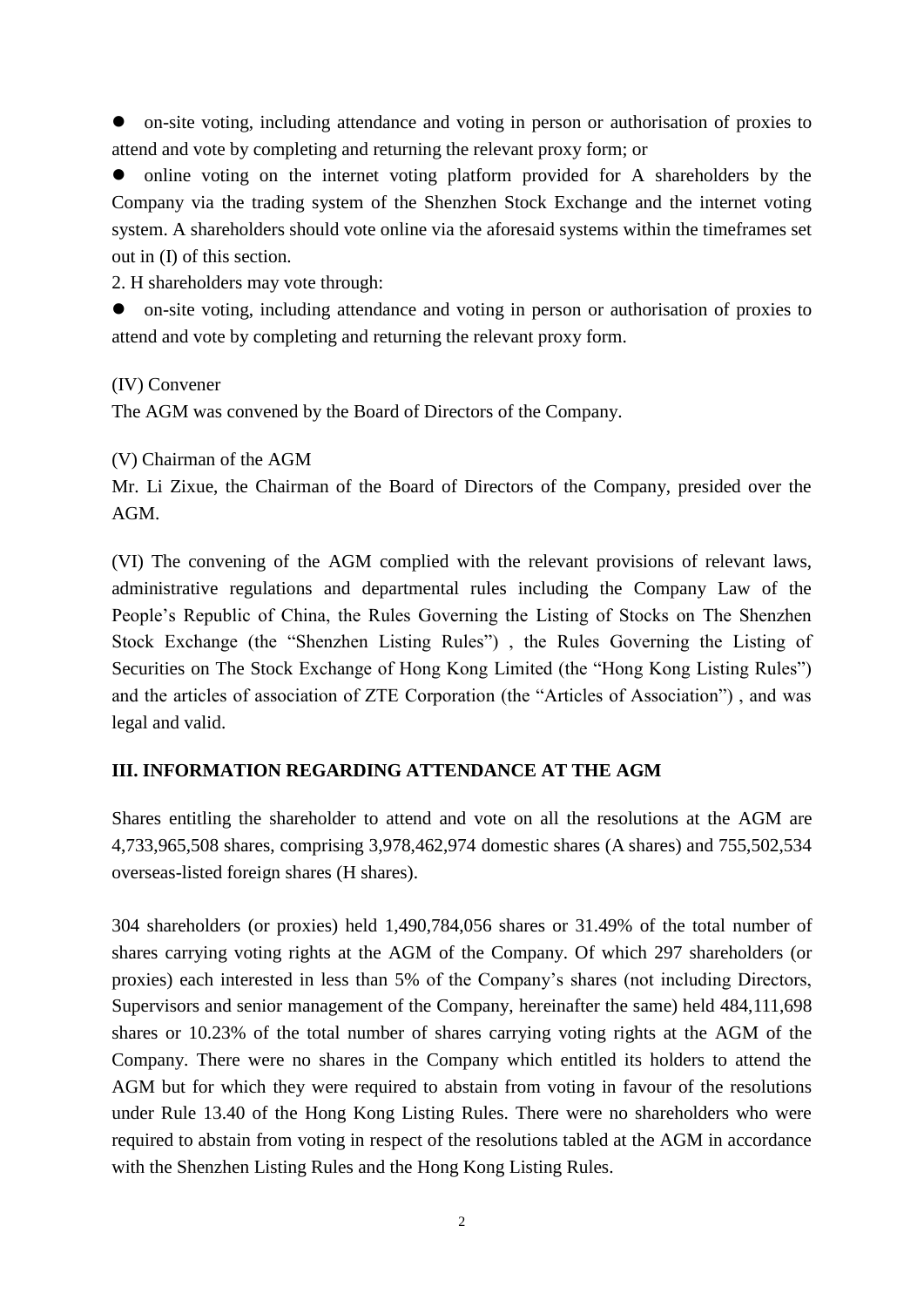on-site voting, including attendance and voting in person or authorisation of proxies to attend and vote by completing and returning the relevant proxy form; or

 online voting on the internet voting platform provided for A shareholders by the Company via the trading system of the Shenzhen Stock Exchange and the internet voting system. A shareholders should vote online via the aforesaid systems within the timeframes set out in (I) of this section.

2. H shareholders may vote through:

 on-site voting, including attendance and voting in person or authorisation of proxies to attend and vote by completing and returning the relevant proxy form.

(IV) Convener

The AGM was convened by the Board of Directors of the Company.

(V) Chairman of the AGM

Mr. Li Zixue, the Chairman of the Board of Directors of the Company, presided over the AGM.

(VI) The convening of the AGM complied with the relevant provisions of relevant laws, administrative regulations and departmental rules including the Company Law of the People's Republic of China, the Rules Governing the Listing of Stocks on The Shenzhen Stock Exchange (the "Shenzhen Listing Rules") , the Rules Governing the Listing of Securities on The Stock Exchange of Hong Kong Limited (the "Hong Kong Listing Rules") and the articles of association of ZTE Corporation (the "Articles of Association") , and was legal and valid.

## **III. INFORMATION REGARDING ATTENDANCE AT THE AGM**

Shares entitling the shareholder to attend and vote on all the resolutions at the AGM are 4,733,965,508 shares, comprising 3,978,462,974 domestic shares (A shares) and 755,502,534 overseas-listed foreign shares (H shares).

304 shareholders (or proxies) held 1,490,784,056 shares or 31.49% of the total number of shares carrying voting rights at the AGM of the Company. Of which 297 shareholders (or proxies) each interested in less than 5% of the Company's shares (not including Directors, Supervisors and senior management of the Company, hereinafter the same) held 484,111,698 shares or 10.23% of the total number of shares carrying voting rights at the AGM of the Company. There were no shares in the Company which entitled its holders to attend the AGM but for which they were required to abstain from voting in favour of the resolutions under Rule 13.40 of the Hong Kong Listing Rules. There were no shareholders who were required to abstain from voting in respect of the resolutions tabled at the AGM in accordance with the Shenzhen Listing Rules and the Hong Kong Listing Rules.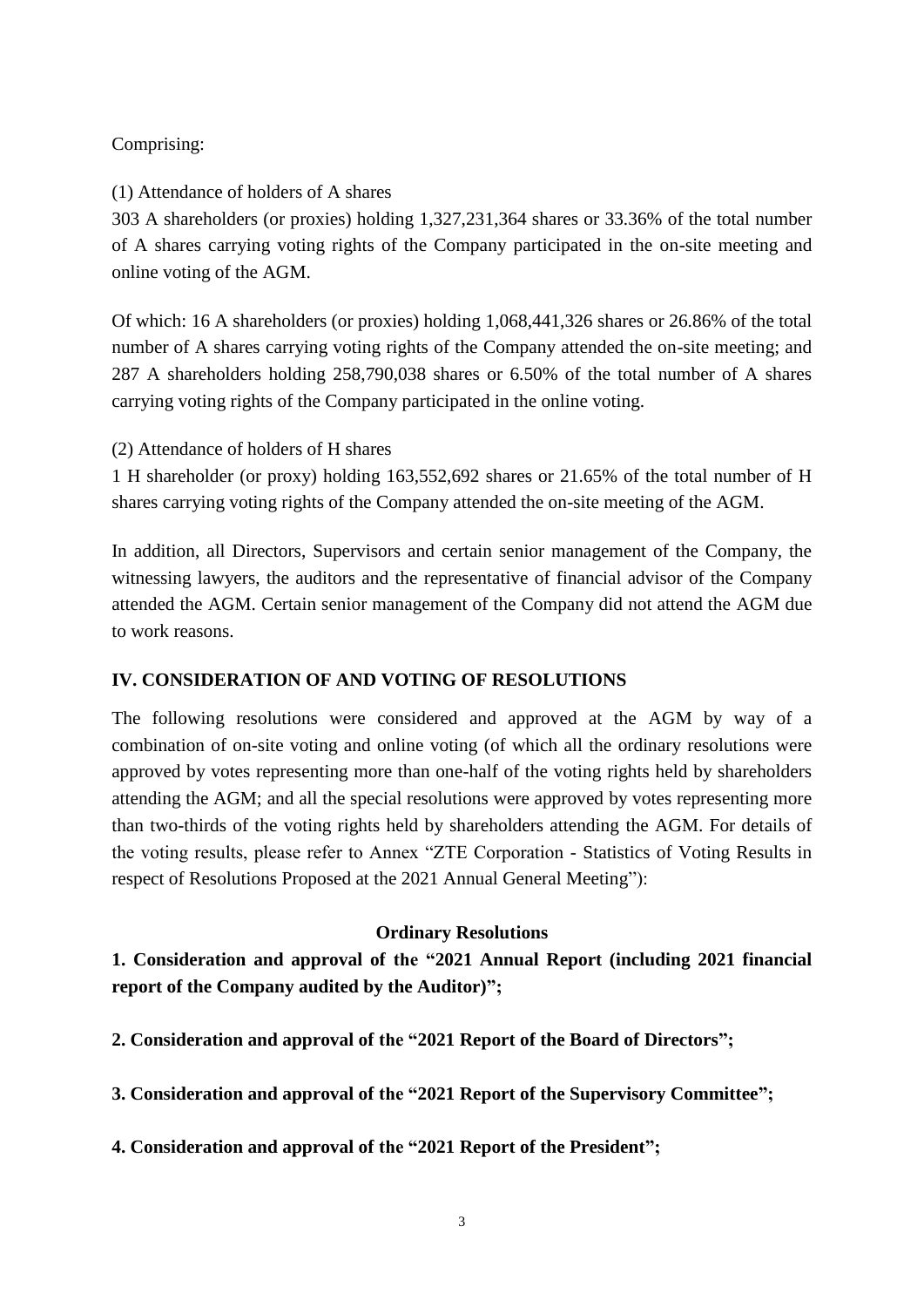# Comprising:

(1) Attendance of holders of A shares

303 A shareholders (or proxies) holding 1,327,231,364 shares or 33.36% of the total number of A shares carrying voting rights of the Company participated in the on-site meeting and online voting of the AGM.

Of which: 16 A shareholders (or proxies) holding 1,068,441,326 shares or 26.86% of the total number of A shares carrying voting rights of the Company attended the on-site meeting; and 287 A shareholders holding 258,790,038 shares or 6.50% of the total number of A shares carrying voting rights of the Company participated in the online voting.

(2) Attendance of holders of H shares

1 H shareholder (or proxy) holding 163,552,692 shares or 21.65% of the total number of H shares carrying voting rights of the Company attended the on-site meeting of the AGM.

In addition, all Directors, Supervisors and certain senior management of the Company, the witnessing lawyers, the auditors and the representative of financial advisor of the Company attended the AGM. Certain senior management of the Company did not attend the AGM due to work reasons.

# **IV. CONSIDERATION OF AND VOTING OF RESOLUTIONS**

The following resolutions were considered and approved at the AGM by way of a combination of on-site voting and online voting (of which all the ordinary resolutions were approved by votes representing more than one-half of the voting rights held by shareholders attending the AGM; and all the special resolutions were approved by votes representing more than two-thirds of the voting rights held by shareholders attending the AGM. For details of the voting results, please refer to Annex "ZTE Corporation - Statistics of Voting Results in respect of Resolutions Proposed at the 2021 Annual General Meeting"):

# **Ordinary Resolutions**

**1. Consideration and approval of the "2021 Annual Report (including 2021 financial report of the Company audited by the Auditor)";**

**2. Consideration and approval of the "2021 Report of the Board of Directors";**

**3. Consideration and approval of the "2021 Report of the Supervisory Committee";**

**4. Consideration and approval of the "2021 Report of the President";**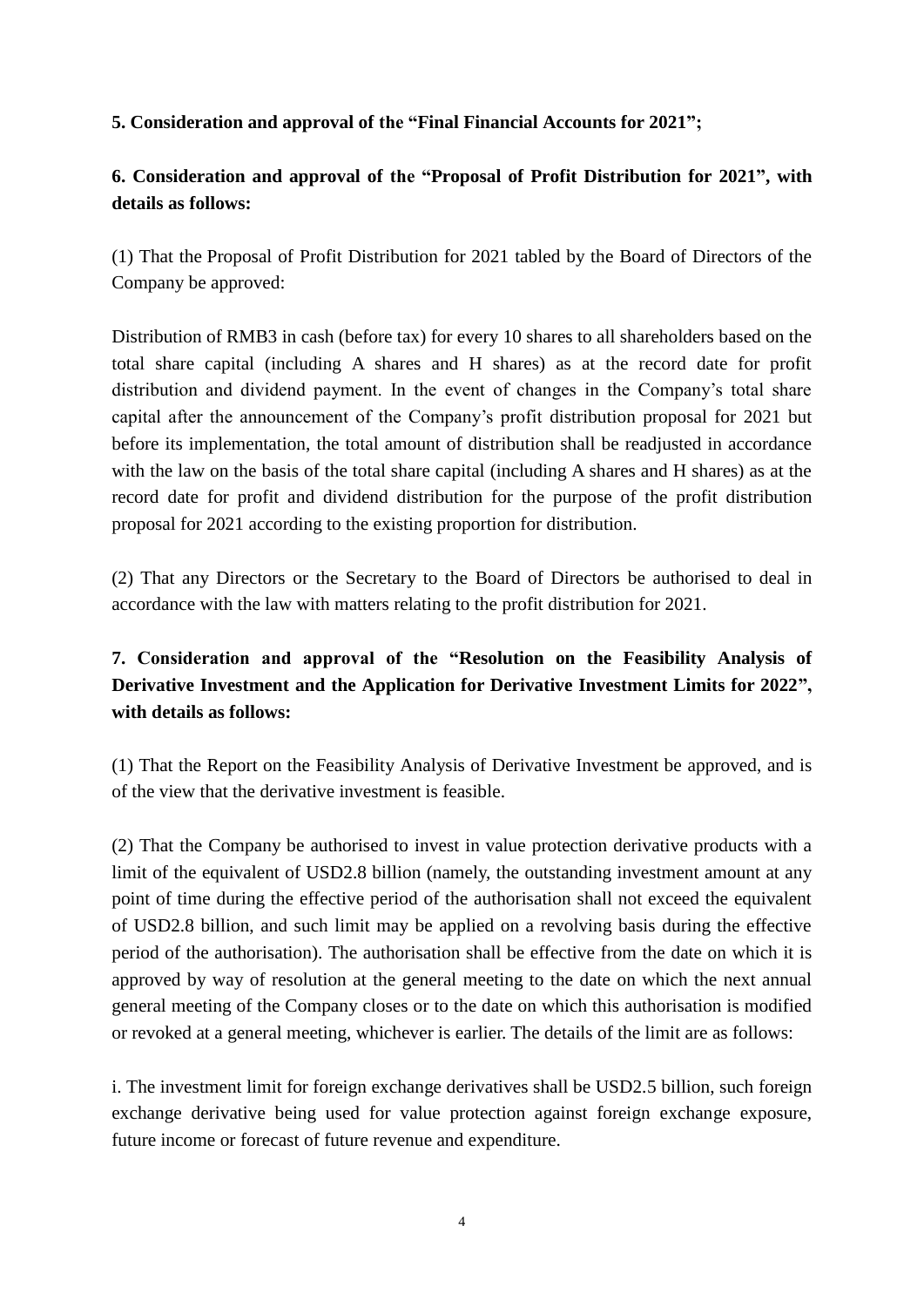# **5. Consideration and approval of the "Final Financial Accounts for 2021";**

# **6. Consideration and approval of the "Proposal of Profit Distribution for 2021", with details as follows:**

(1) That the Proposal of Profit Distribution for 2021 tabled by the Board of Directors of the Company be approved:

Distribution of RMB3 in cash (before tax) for every 10 shares to all shareholders based on the total share capital (including A shares and H shares) as at the record date for profit distribution and dividend payment. In the event of changes in the Company's total share capital after the announcement of the Company's profit distribution proposal for 2021 but before its implementation, the total amount of distribution shall be readjusted in accordance with the law on the basis of the total share capital (including A shares and H shares) as at the record date for profit and dividend distribution for the purpose of the profit distribution proposal for 2021 according to the existing proportion for distribution.

(2) That any Directors or the Secretary to the Board of Directors be authorised to deal in accordance with the law with matters relating to the profit distribution for 2021.

# **7. Consideration and approval of the "Resolution on the Feasibility Analysis of Derivative Investment and the Application for Derivative Investment Limits for 2022", with details as follows:**

(1) That the Report on the Feasibility Analysis of Derivative Investment be approved, and is of the view that the derivative investment is feasible.

(2) That the Company be authorised to invest in value protection derivative products with a limit of the equivalent of USD2.8 billion (namely, the outstanding investment amount at any point of time during the effective period of the authorisation shall not exceed the equivalent of USD2.8 billion, and such limit may be applied on a revolving basis during the effective period of the authorisation). The authorisation shall be effective from the date on which it is approved by way of resolution at the general meeting to the date on which the next annual general meeting of the Company closes or to the date on which this authorisation is modified or revoked at a general meeting, whichever is earlier. The details of the limit are as follows:

i. The investment limit for foreign exchange derivatives shall be USD2.5 billion, such foreign exchange derivative being used for value protection against foreign exchange exposure, future income or forecast of future revenue and expenditure.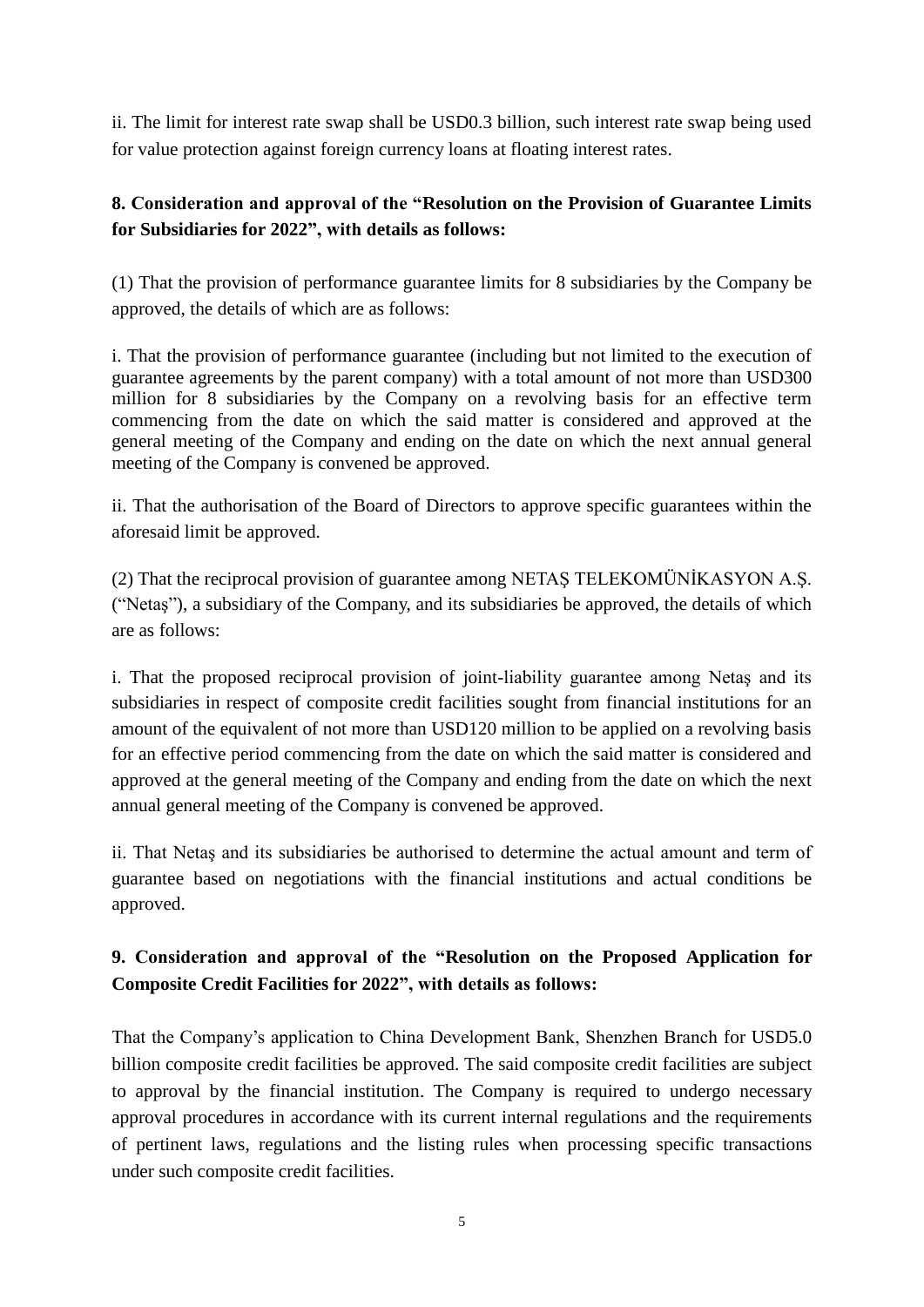ii. The limit for interest rate swap shall be USD0.3 billion, such interest rate swap being used for value protection against foreign currency loans at floating interest rates.

# **8. Consideration and approval of the "Resolution on the Provision of Guarantee Limits for Subsidiaries for 2022", with details as follows:**

(1) That the provision of performance guarantee limits for 8 subsidiaries by the Company be approved, the details of which are as follows:

i. That the provision of performance guarantee (including but not limited to the execution of guarantee agreements by the parent company) with a total amount of not more than USD300 million for 8 subsidiaries by the Company on a revolving basis for an effective term commencing from the date on which the said matter is considered and approved at the general meeting of the Company and ending on the date on which the next annual general meeting of the Company is convened be approved.

ii. That the authorisation of the Board of Directors to approve specific guarantees within the aforesaid limit be approved.

(2) That the reciprocal provision of guarantee among NETAŞ TELEKOMÜNİKASYON A.Ş. ("Netaş"), a subsidiary of the Company, and its subsidiaries be approved, the details of which are as follows:

i. That the proposed reciprocal provision of joint-liability guarantee among Netaş and its subsidiaries in respect of composite credit facilities sought from financial institutions for an amount of the equivalent of not more than USD120 million to be applied on a revolving basis for an effective period commencing from the date on which the said matter is considered and approved at the general meeting of the Company and ending from the date on which the next annual general meeting of the Company is convened be approved.

ii. That Netaş and its subsidiaries be authorised to determine the actual amount and term of guarantee based on negotiations with the financial institutions and actual conditions be approved.

# **9. Consideration and approval of the "Resolution on the Proposed Application for Composite Credit Facilities for 2022", with details as follows:**

That the Company's application to China Development Bank, Shenzhen Branch for USD5.0 billion composite credit facilities be approved. The said composite credit facilities are subject to approval by the financial institution. The Company is required to undergo necessary approval procedures in accordance with its current internal regulations and the requirements of pertinent laws, regulations and the listing rules when processing specific transactions under such composite credit facilities.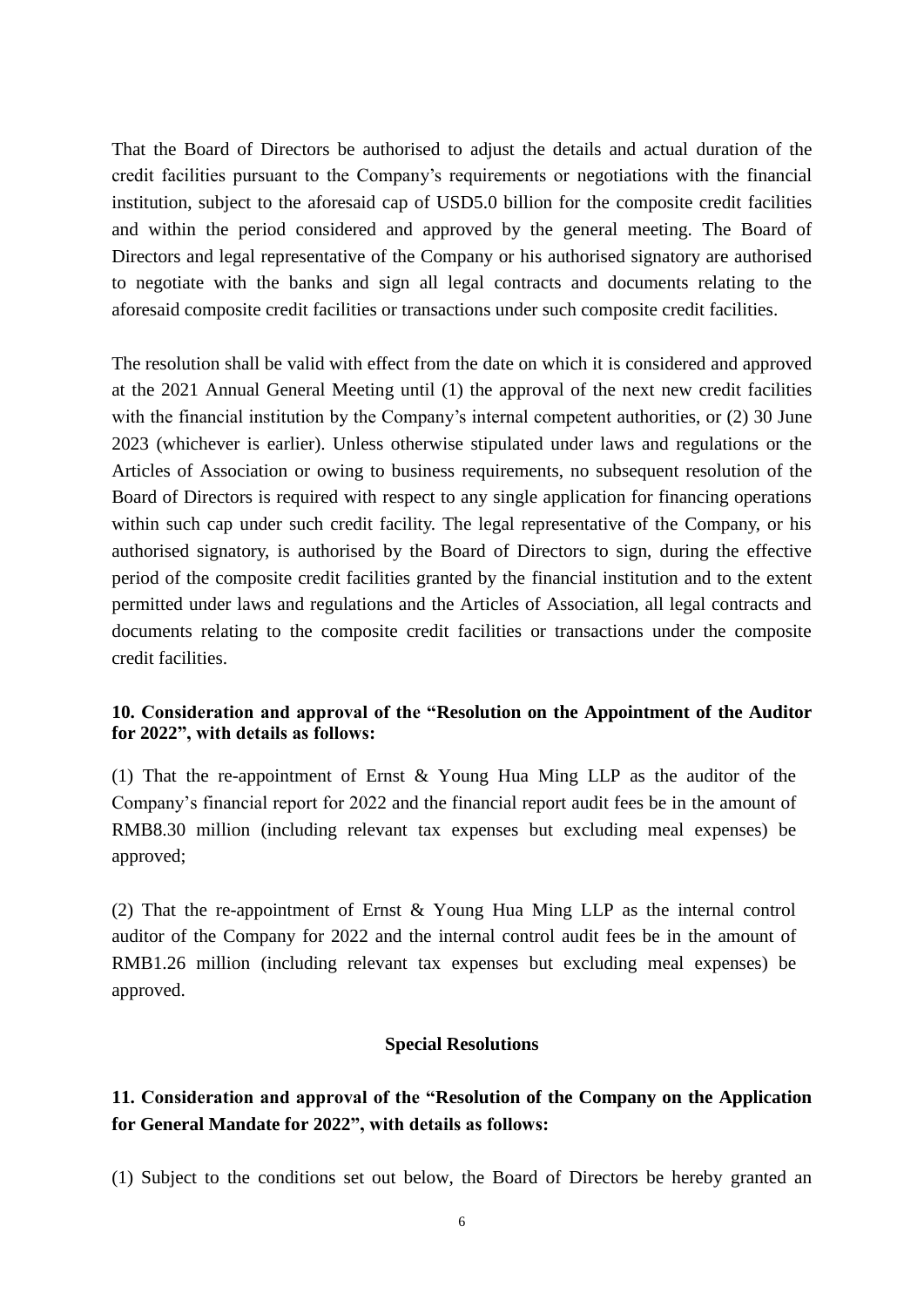That the Board of Directors be authorised to adjust the details and actual duration of the credit facilities pursuant to the Company's requirements or negotiations with the financial institution, subject to the aforesaid cap of USD5.0 billion for the composite credit facilities and within the period considered and approved by the general meeting. The Board of Directors and legal representative of the Company or his authorised signatory are authorised to negotiate with the banks and sign all legal contracts and documents relating to the aforesaid composite credit facilities or transactions under such composite credit facilities.

The resolution shall be valid with effect from the date on which it is considered and approved at the 2021 Annual General Meeting until (1) the approval of the next new credit facilities with the financial institution by the Company's internal competent authorities, or (2) 30 June 2023 (whichever is earlier). Unless otherwise stipulated under laws and regulations or the Articles of Association or owing to business requirements, no subsequent resolution of the Board of Directors is required with respect to any single application for financing operations within such cap under such credit facility. The legal representative of the Company, or his authorised signatory, is authorised by the Board of Directors to sign, during the effective period of the composite credit facilities granted by the financial institution and to the extent permitted under laws and regulations and the Articles of Association, all legal contracts and documents relating to the composite credit facilities or transactions under the composite credit facilities.

## **10. Consideration and approval of the "Resolution on the Appointment of the Auditor for 2022", with details as follows:**

(1) That the re-appointment of Ernst & Young Hua Ming LLP as the auditor of the Company's financial report for 2022 and the financial report audit fees be in the amount of RMB8.30 million (including relevant tax expenses but excluding meal expenses) be approved;

(2) That the re-appointment of Ernst & Young Hua Ming LLP as the internal control auditor of the Company for 2022 and the internal control audit fees be in the amount of RMB1.26 million (including relevant tax expenses but excluding meal expenses) be approved.

#### **Special Resolutions**

# **11. Consideration and approval of the "Resolution of the Company on the Application for General Mandate for 2022", with details as follows:**

(1) Subject to the conditions set out below, the Board of Directors be hereby granted an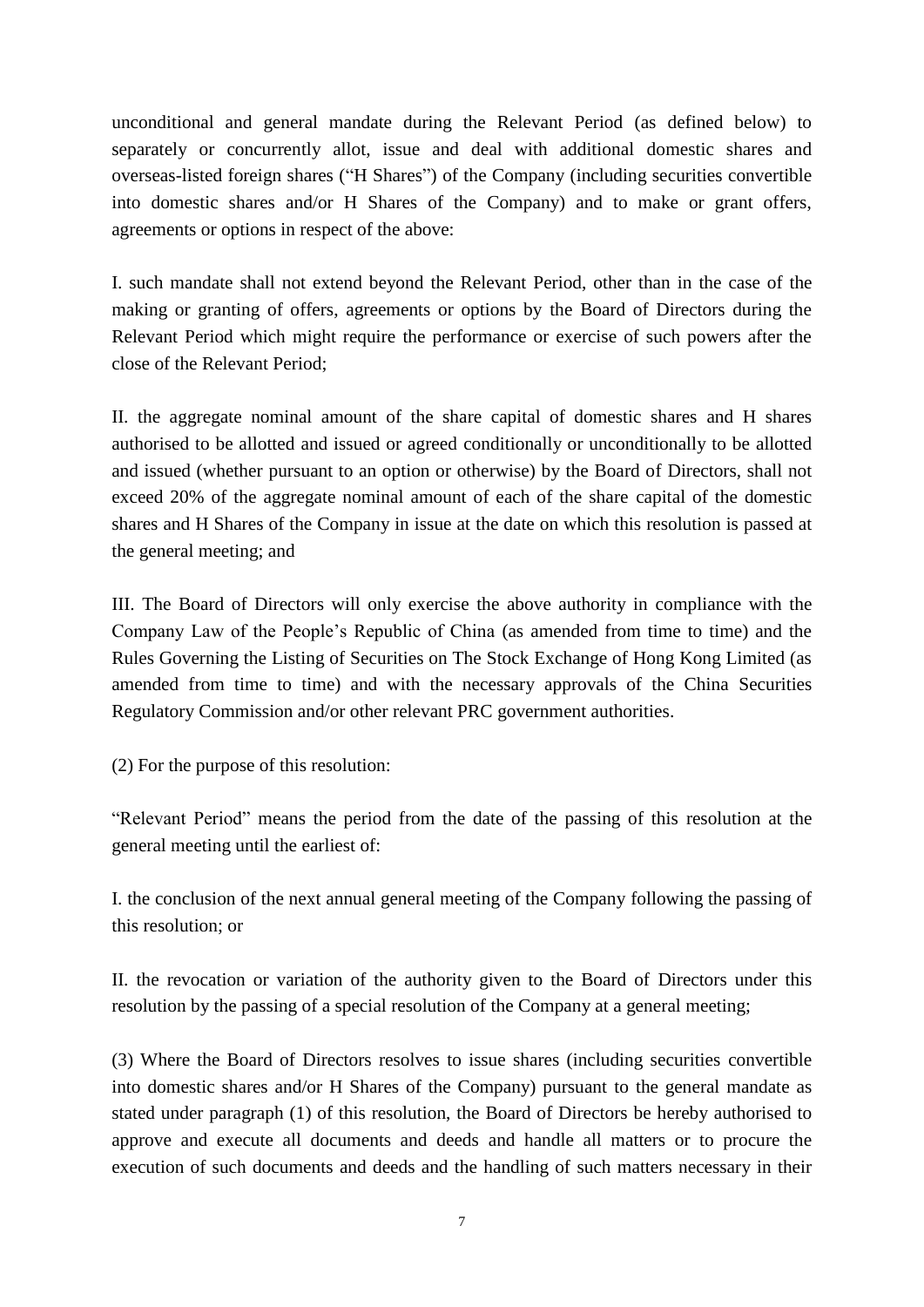unconditional and general mandate during the Relevant Period (as defined below) to separately or concurrently allot, issue and deal with additional domestic shares and overseas-listed foreign shares ("H Shares") of the Company (including securities convertible into domestic shares and/or H Shares of the Company) and to make or grant offers, agreements or options in respect of the above:

I. such mandate shall not extend beyond the Relevant Period, other than in the case of the making or granting of offers, agreements or options by the Board of Directors during the Relevant Period which might require the performance or exercise of such powers after the close of the Relevant Period;

II. the aggregate nominal amount of the share capital of domestic shares and H shares authorised to be allotted and issued or agreed conditionally or unconditionally to be allotted and issued (whether pursuant to an option or otherwise) by the Board of Directors, shall not exceed 20% of the aggregate nominal amount of each of the share capital of the domestic shares and H Shares of the Company in issue at the date on which this resolution is passed at the general meeting; and

III. The Board of Directors will only exercise the above authority in compliance with the Company Law of the People's Republic of China (as amended from time to time) and the Rules Governing the Listing of Securities on The Stock Exchange of Hong Kong Limited (as amended from time to time) and with the necessary approvals of the China Securities Regulatory Commission and/or other relevant PRC government authorities.

(2) For the purpose of this resolution:

"Relevant Period" means the period from the date of the passing of this resolution at the general meeting until the earliest of:

I. the conclusion of the next annual general meeting of the Company following the passing of this resolution; or

II. the revocation or variation of the authority given to the Board of Directors under this resolution by the passing of a special resolution of the Company at a general meeting;

(3) Where the Board of Directors resolves to issue shares (including securities convertible into domestic shares and/or H Shares of the Company) pursuant to the general mandate as stated under paragraph (1) of this resolution, the Board of Directors be hereby authorised to approve and execute all documents and deeds and handle all matters or to procure the execution of such documents and deeds and the handling of such matters necessary in their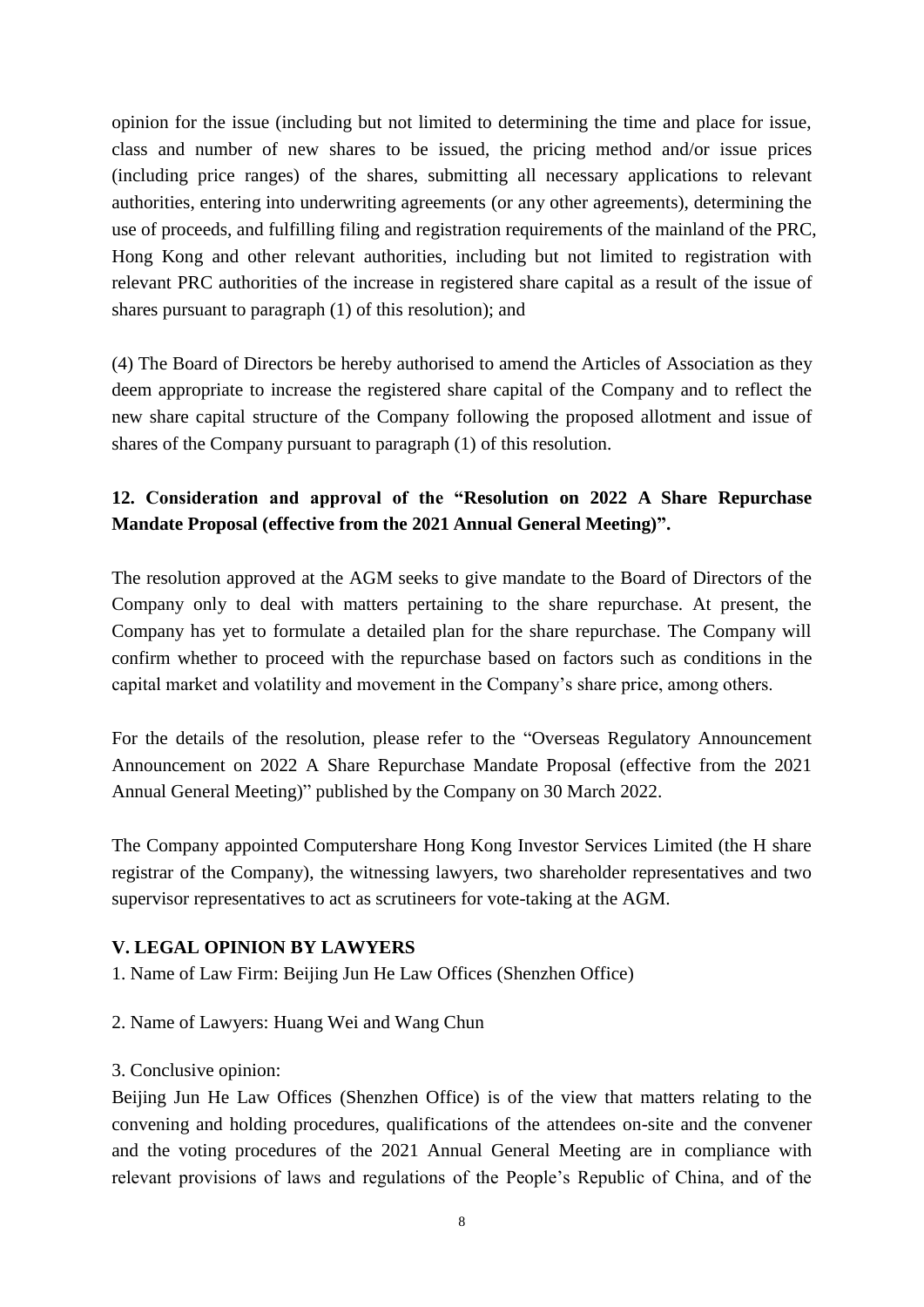opinion for the issue (including but not limited to determining the time and place for issue, class and number of new shares to be issued, the pricing method and/or issue prices (including price ranges) of the shares, submitting all necessary applications to relevant authorities, entering into underwriting agreements (or any other agreements), determining the use of proceeds, and fulfilling filing and registration requirements of the mainland of the PRC, Hong Kong and other relevant authorities, including but not limited to registration with relevant PRC authorities of the increase in registered share capital as a result of the issue of shares pursuant to paragraph (1) of this resolution); and

(4) The Board of Directors be hereby authorised to amend the Articles of Association as they deem appropriate to increase the registered share capital of the Company and to reflect the new share capital structure of the Company following the proposed allotment and issue of shares of the Company pursuant to paragraph (1) of this resolution.

# **12. Consideration and approval of the "Resolution on 2022 A Share Repurchase Mandate Proposal (effective from the 2021 Annual General Meeting)".**

The resolution approved at the AGM seeks to give mandate to the Board of Directors of the Company only to deal with matters pertaining to the share repurchase. At present, the Company has yet to formulate a detailed plan for the share repurchase. The Company will confirm whether to proceed with the repurchase based on factors such as conditions in the capital market and volatility and movement in the Company's share price, among others.

For the details of the resolution, please refer to the "Overseas Regulatory Announcement Announcement on 2022 A Share Repurchase Mandate Proposal (effective from the 2021 Annual General Meeting)" published by the Company on 30 March 2022.

The Company appointed Computershare Hong Kong Investor Services Limited (the H share registrar of the Company), the witnessing lawyers, two shareholder representatives and two supervisor representatives to act as scrutineers for vote-taking at the AGM.

## **V. LEGAL OPINION BY LAWYERS**

- 1. Name of Law Firm: Beijing Jun He Law Offices (Shenzhen Office)
- 2. Name of Lawyers: Huang Wei and Wang Chun
- 3. Conclusive opinion:

Beijing Jun He Law Offices (Shenzhen Office) is of the view that matters relating to the convening and holding procedures, qualifications of the attendees on-site and the convener and the voting procedures of the 2021 Annual General Meeting are in compliance with relevant provisions of laws and regulations of the People's Republic of China, and of the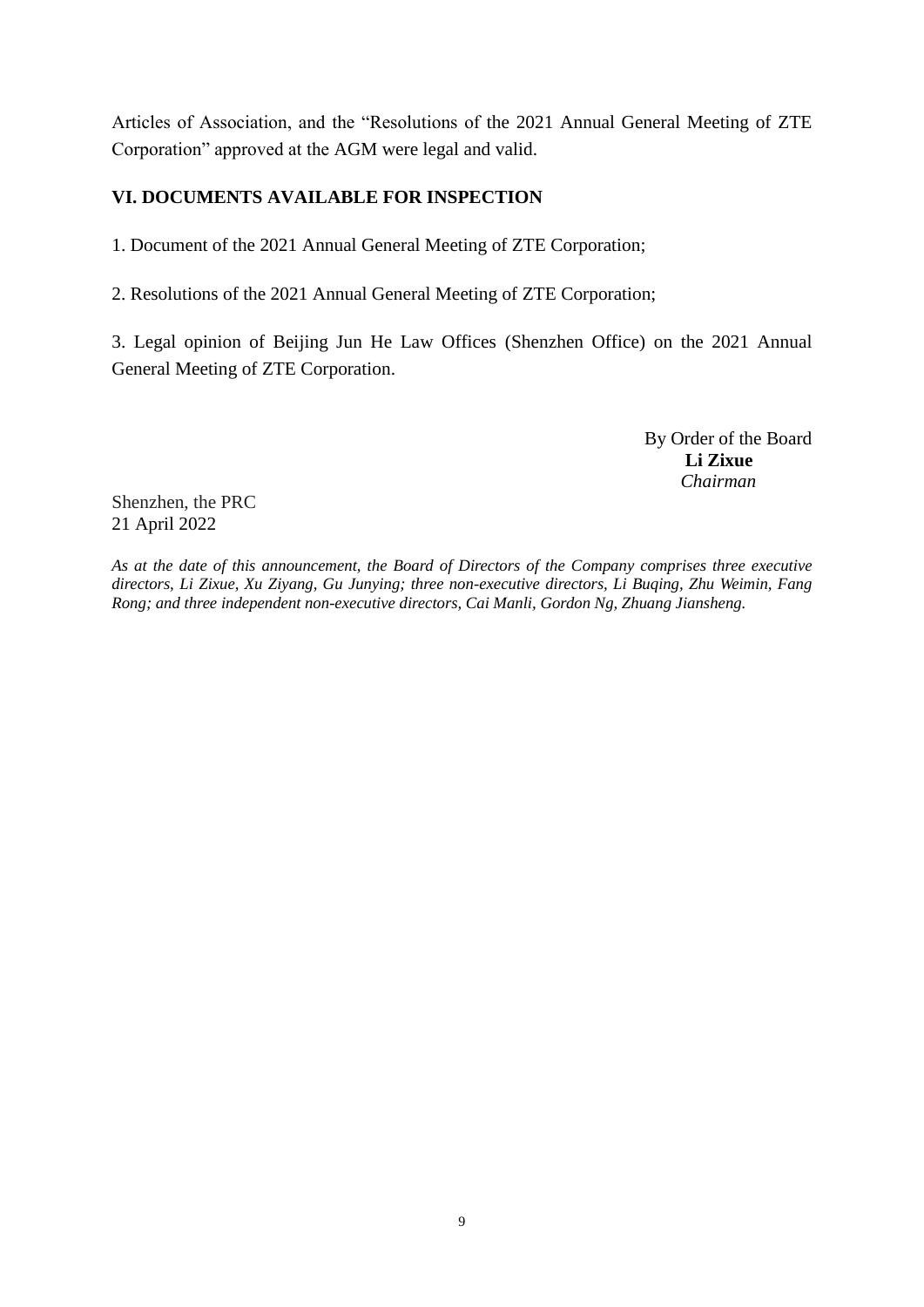Articles of Association, and the "Resolutions of the 2021 Annual General Meeting of ZTE Corporation" approved at the AGM were legal and valid.

# **VI. DOCUMENTS AVAILABLE FOR INSPECTION**

1. Document of the 2021 Annual General Meeting of ZTE Corporation;

2. Resolutions of the 2021 Annual General Meeting of ZTE Corporation;

3. Legal opinion of Beijing Jun He Law Offices (Shenzhen Office) on the 2021 Annual General Meeting of ZTE Corporation.

> By Order of the Board **Li Zixue** *Chairman*

Shenzhen, the PRC 21 April 2022

*As at the date of this announcement, the Board of Directors of the Company comprises three executive directors, Li Zixue, Xu Ziyang, Gu Junying; three non-executive directors, Li Buqing, Zhu Weimin, Fang Rong; and three independent non-executive directors, Cai Manli, Gordon Ng, Zhuang Jiansheng.*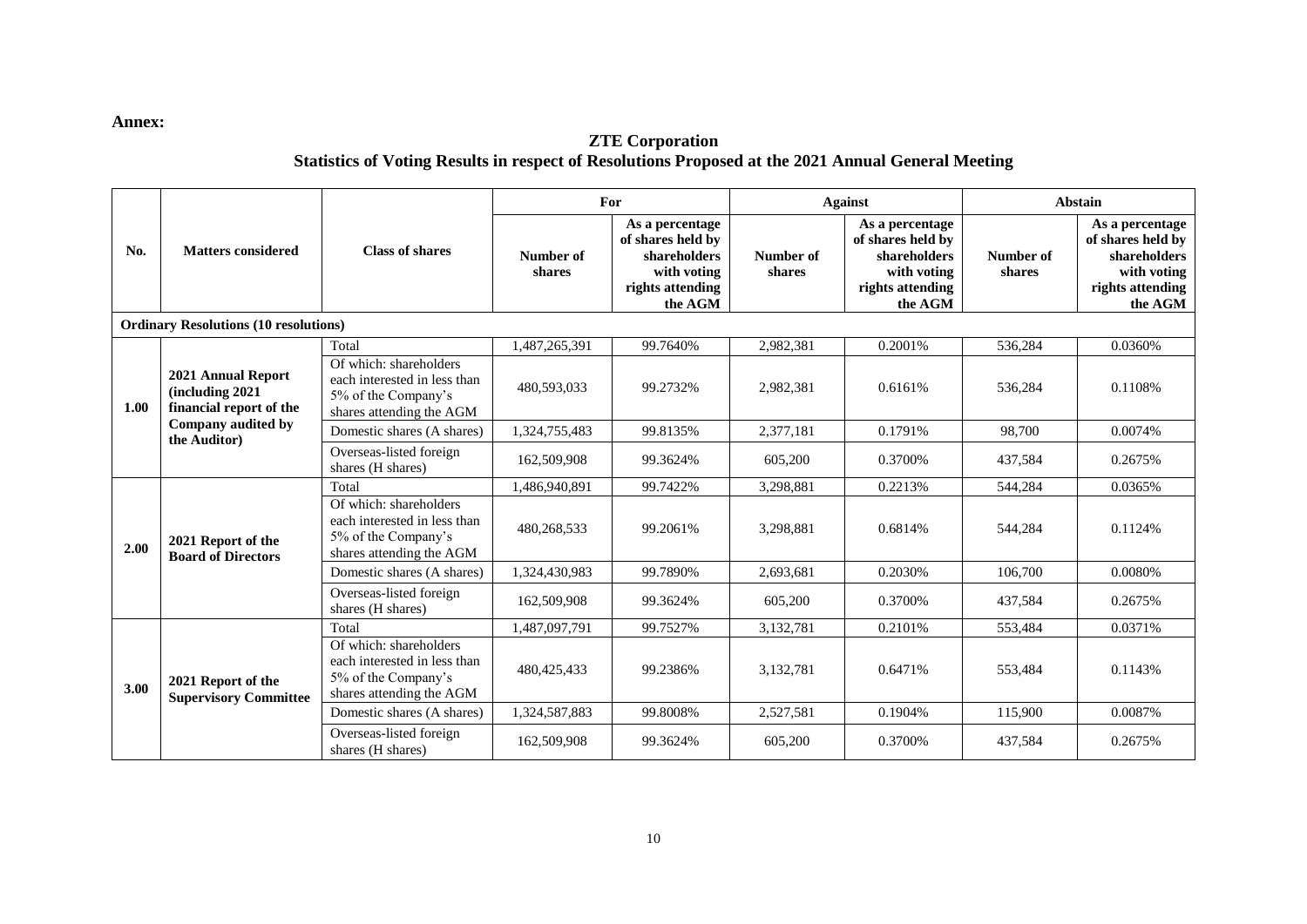#### **Annex:**

#### **ZTE Corporation Statistics of Voting Results in respect of Resolutions Proposed at the 2021 Annual General Meeting**

|      | <b>Matters considered</b>                                                                              | <b>Class of shares</b>                                                                                    | For                 |                                                                                                    | <b>Against</b>      |                                                                                                    | Abstain             |                                                                                                    |
|------|--------------------------------------------------------------------------------------------------------|-----------------------------------------------------------------------------------------------------------|---------------------|----------------------------------------------------------------------------------------------------|---------------------|----------------------------------------------------------------------------------------------------|---------------------|----------------------------------------------------------------------------------------------------|
| No.  |                                                                                                        |                                                                                                           | Number of<br>shares | As a percentage<br>of shares held by<br>shareholders<br>with voting<br>rights attending<br>the AGM | Number of<br>shares | As a percentage<br>of shares held by<br>shareholders<br>with voting<br>rights attending<br>the AGM | Number of<br>shares | As a percentage<br>of shares held by<br>shareholders<br>with voting<br>rights attending<br>the AGM |
|      | <b>Ordinary Resolutions (10 resolutions)</b>                                                           |                                                                                                           |                     |                                                                                                    |                     |                                                                                                    |                     |                                                                                                    |
|      |                                                                                                        | Total                                                                                                     | 1,487,265,391       | 99.7640%                                                                                           | 2,982,381           | 0.2001%                                                                                            | 536,284             | 0.0360%                                                                                            |
| 1.00 | 2021 Annual Report<br>(including 2021<br>financial report of the<br>Company audited by<br>the Auditor) | Of which: shareholders<br>each interested in less than<br>5% of the Company's<br>shares attending the AGM | 480.593.033         | 99.2732%                                                                                           | 2,982,381           | 0.6161%                                                                                            | 536.284             | 0.1108%                                                                                            |
|      |                                                                                                        | Domestic shares (A shares)                                                                                | 1,324,755,483       | 99.8135%                                                                                           | 2,377,181           | 0.1791%                                                                                            | 98,700              | 0.0074%                                                                                            |
|      |                                                                                                        | Overseas-listed foreign<br>shares (H shares)                                                              | 162,509,908         | 99.3624%                                                                                           | 605,200             | 0.3700%                                                                                            | 437,584             | 0.2675%                                                                                            |
|      | 2021 Report of the<br><b>Board of Directors</b>                                                        | Total                                                                                                     | 1.486.940.891       | 99.7422%                                                                                           | 3,298,881           | 0.2213%                                                                                            | 544,284             | 0.0365%                                                                                            |
| 2.00 |                                                                                                        | Of which: shareholders<br>each interested in less than<br>5% of the Company's<br>shares attending the AGM | 480,268,533         | 99.2061%                                                                                           | 3,298,881           | 0.6814%                                                                                            | 544.284             | 0.1124%                                                                                            |
|      |                                                                                                        | Domestic shares (A shares)                                                                                | 1.324.430.983       | 99.7890%                                                                                           | 2.693.681           | 0.2030%                                                                                            | 106,700             | 0.0080%                                                                                            |
|      |                                                                                                        | Overseas-listed foreign<br>shares (H shares)                                                              | 162,509,908         | 99.3624%                                                                                           | 605,200             | 0.3700%                                                                                            | 437.584             | 0.2675%                                                                                            |
|      | 2021 Report of the<br><b>Supervisory Committee</b>                                                     | Total                                                                                                     | 1,487,097,791       | 99.7527%                                                                                           | 3,132,781           | 0.2101%                                                                                            | 553,484             | 0.0371%                                                                                            |
| 3.00 |                                                                                                        | Of which: shareholders<br>each interested in less than<br>5% of the Company's<br>shares attending the AGM | 480, 425, 433       | 99.2386%                                                                                           | 3,132,781           | 0.6471%                                                                                            | 553,484             | 0.1143%                                                                                            |
|      |                                                                                                        | Domestic shares (A shares)                                                                                | 1,324,587,883       | 99.8008%                                                                                           | 2,527,581           | 0.1904%                                                                                            | 115,900             | 0.0087%                                                                                            |
|      |                                                                                                        | Overseas-listed foreign<br>shares (H shares)                                                              | 162,509,908         | 99.3624%                                                                                           | 605,200             | 0.3700%                                                                                            | 437,584             | 0.2675%                                                                                            |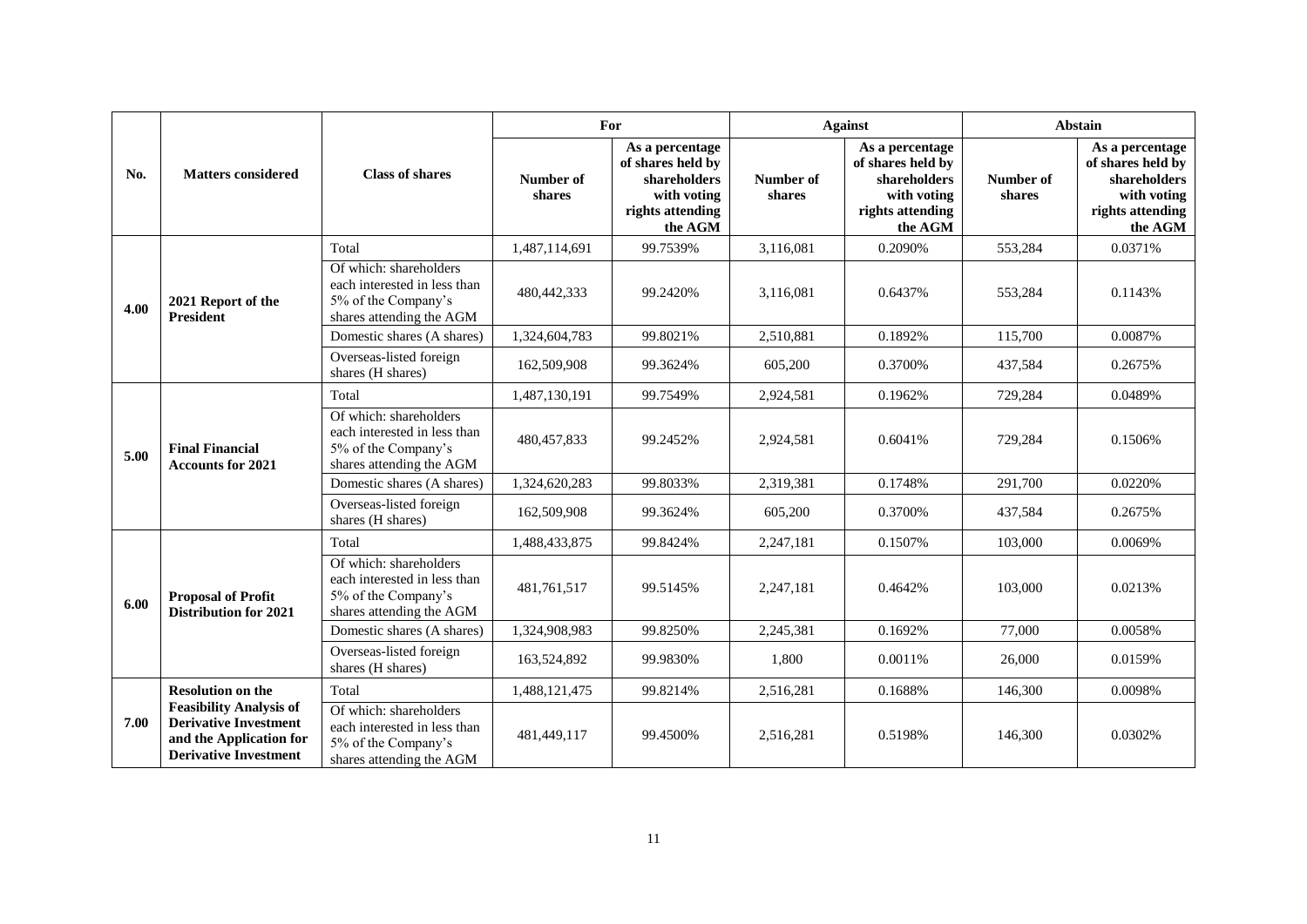|      | <b>Matters considered</b>                                                                                                                             |                                                                                                           | For                 |                                                                                                    | <b>Against</b>      |                                                                                                    | <b>Abstain</b>      |                                                                                                    |
|------|-------------------------------------------------------------------------------------------------------------------------------------------------------|-----------------------------------------------------------------------------------------------------------|---------------------|----------------------------------------------------------------------------------------------------|---------------------|----------------------------------------------------------------------------------------------------|---------------------|----------------------------------------------------------------------------------------------------|
| No.  |                                                                                                                                                       | <b>Class of shares</b>                                                                                    | Number of<br>shares | As a percentage<br>of shares held by<br>shareholders<br>with voting<br>rights attending<br>the AGM | Number of<br>shares | As a percentage<br>of shares held by<br>shareholders<br>with voting<br>rights attending<br>the AGM | Number of<br>shares | As a percentage<br>of shares held by<br>shareholders<br>with voting<br>rights attending<br>the AGM |
|      | 2021 Report of the<br><b>President</b>                                                                                                                | Total                                                                                                     | 1.487.114.691       | 99.7539%                                                                                           | 3.116.081           | 0.2090%                                                                                            | 553,284             | 0.0371%                                                                                            |
| 4.00 |                                                                                                                                                       | Of which: shareholders<br>each interested in less than<br>5% of the Company's<br>shares attending the AGM | 480, 442, 333       | 99.2420%                                                                                           | 3,116,081           | 0.6437%                                                                                            | 553,284             | 0.1143%                                                                                            |
|      |                                                                                                                                                       | Domestic shares (A shares)                                                                                | 1,324,604,783       | 99.8021%                                                                                           | 2.510.881           | 0.1892%                                                                                            | 115,700             | 0.0087%                                                                                            |
|      |                                                                                                                                                       | Overseas-listed foreign<br>shares (H shares)                                                              | 162,509,908         | 99.3624%                                                                                           | 605,200             | 0.3700%                                                                                            | 437,584             | 0.2675%                                                                                            |
|      | <b>Final Financial</b><br><b>Accounts for 2021</b>                                                                                                    | Total                                                                                                     | 1,487,130,191       | 99.7549%                                                                                           | 2,924,581           | 0.1962%                                                                                            | 729,284             | 0.0489%                                                                                            |
| 5.00 |                                                                                                                                                       | Of which: shareholders<br>each interested in less than<br>5% of the Company's<br>shares attending the AGM | 480, 457, 833       | 99.2452%                                                                                           | 2,924,581           | 0.6041%                                                                                            | 729,284             | 0.1506%                                                                                            |
|      |                                                                                                                                                       | Domestic shares (A shares)                                                                                | 1,324,620,283       | 99.8033%                                                                                           | 2,319,381           | 0.1748%                                                                                            | 291,700             | 0.0220%                                                                                            |
|      |                                                                                                                                                       | Overseas-listed foreign<br>shares (H shares)                                                              | 162,509,908         | 99.3624%                                                                                           | 605,200             | 0.3700%                                                                                            | 437,584             | 0.2675%                                                                                            |
|      | <b>Proposal of Profit</b><br><b>Distribution for 2021</b>                                                                                             | Total                                                                                                     | 1,488,433,875       | 99.8424%                                                                                           | 2,247,181           | 0.1507%                                                                                            | 103,000             | 0.0069%                                                                                            |
| 6.00 |                                                                                                                                                       | Of which: shareholders<br>each interested in less than<br>5% of the Company's<br>shares attending the AGM | 481.761.517         | 99.5145%                                                                                           | 2.247.181           | 0.4642%                                                                                            | 103,000             | 0.0213%                                                                                            |
|      |                                                                                                                                                       | Domestic shares (A shares)                                                                                | 1,324,908,983       | 99.8250%                                                                                           | 2,245,381           | 0.1692%                                                                                            | 77,000              | 0.0058%                                                                                            |
|      |                                                                                                                                                       | Overseas-listed foreign<br>shares (H shares)                                                              | 163,524,892         | 99.9830%                                                                                           | 1,800               | 0.0011%                                                                                            | 26,000              | 0.0159%                                                                                            |
| 7.00 | <b>Resolution on the</b><br><b>Feasibility Analysis of</b><br><b>Derivative Investment</b><br>and the Application for<br><b>Derivative Investment</b> | Total                                                                                                     | 1,488,121,475       | 99.8214%                                                                                           | 2,516,281           | 0.1688%                                                                                            | 146,300             | 0.0098%                                                                                            |
|      |                                                                                                                                                       | Of which: shareholders<br>each interested in less than<br>5% of the Company's<br>shares attending the AGM | 481,449,117         | 99.4500%                                                                                           | 2,516,281           | 0.5198%                                                                                            | 146,300             | 0.0302%                                                                                            |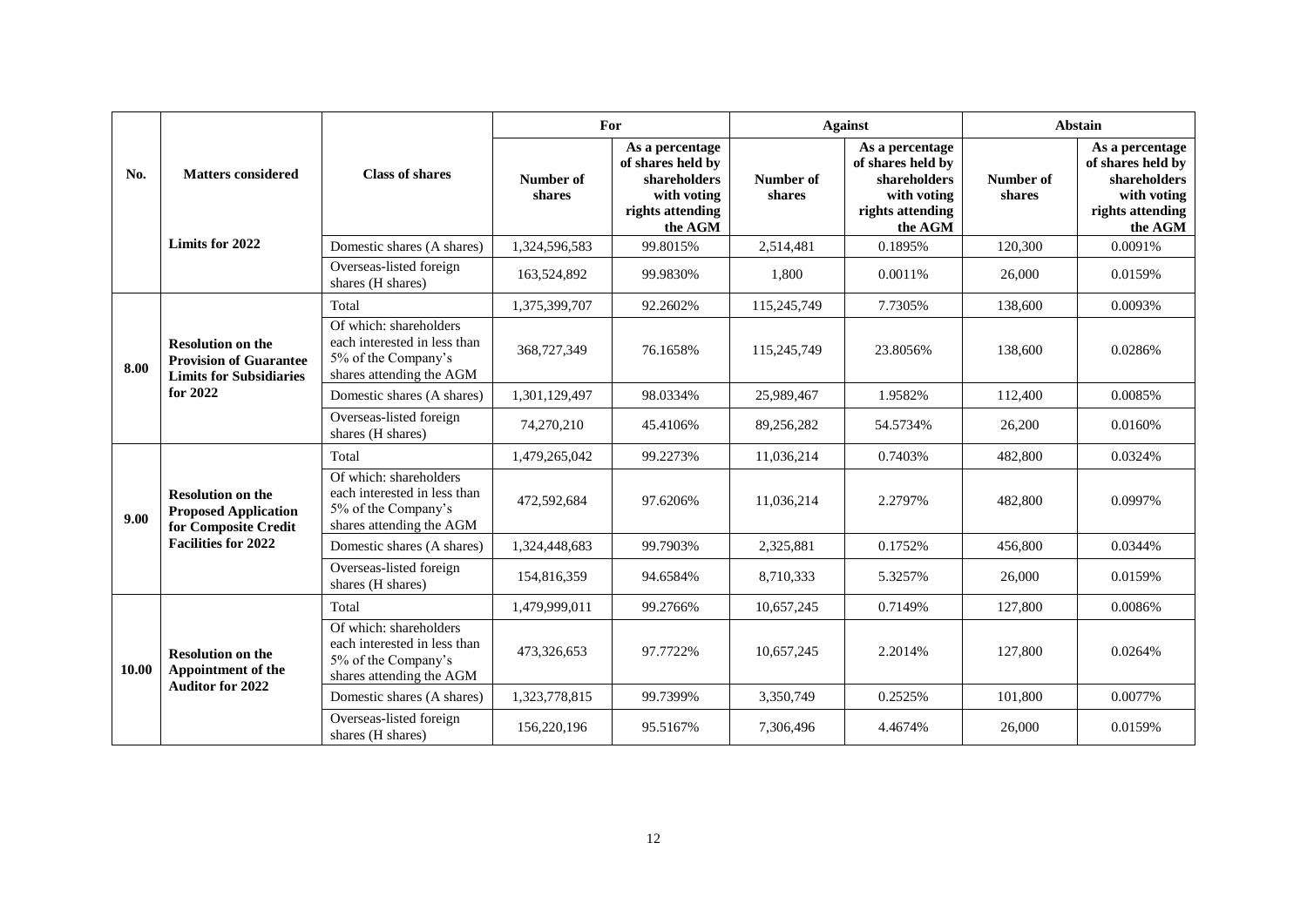|       | No.<br><b>Matters considered</b>                                                                              | <b>Class of shares</b>                                                                                    | For                 |                                                                                                    | <b>Against</b>      |                                                                                                    | <b>Abstain</b>      |                                                                                                    |
|-------|---------------------------------------------------------------------------------------------------------------|-----------------------------------------------------------------------------------------------------------|---------------------|----------------------------------------------------------------------------------------------------|---------------------|----------------------------------------------------------------------------------------------------|---------------------|----------------------------------------------------------------------------------------------------|
|       |                                                                                                               |                                                                                                           | Number of<br>shares | As a percentage<br>of shares held by<br>shareholders<br>with voting<br>rights attending<br>the AGM | Number of<br>shares | As a percentage<br>of shares held by<br>shareholders<br>with voting<br>rights attending<br>the AGM | Number of<br>shares | As a percentage<br>of shares held by<br>shareholders<br>with voting<br>rights attending<br>the AGM |
|       | Limits for 2022                                                                                               | Domestic shares (A shares)                                                                                | 1,324,596,583       | 99.8015%                                                                                           | 2,514,481           | 0.1895%                                                                                            | 120,300             | 0.0091%                                                                                            |
|       |                                                                                                               | Overseas-listed foreign<br>shares (H shares)                                                              | 163,524,892         | 99.9830%                                                                                           | 1,800               | 0.0011%                                                                                            | 26,000              | 0.0159%                                                                                            |
|       |                                                                                                               | Total                                                                                                     | 1,375,399,707       | 92.2602%                                                                                           | 115,245,749         | 7.7305%                                                                                            | 138,600             | 0.0093%                                                                                            |
| 8.00  | <b>Resolution on the</b><br><b>Provision of Guarantee</b><br><b>Limits for Subsidiaries</b><br>for $2022$     | Of which: shareholders<br>each interested in less than<br>5% of the Company's<br>shares attending the AGM | 368,727,349         | 76.1658%                                                                                           | 115,245,749         | 23.8056%                                                                                           | 138,600             | 0.0286%                                                                                            |
|       |                                                                                                               | Domestic shares (A shares)                                                                                | 1,301,129,497       | 98.0334%                                                                                           | 25,989,467          | 1.9582%                                                                                            | 112,400             | 0.0085%                                                                                            |
|       |                                                                                                               | Overseas-listed foreign<br>shares (H shares)                                                              | 74,270,210          | 45.4106%                                                                                           | 89,256,282          | 54.5734%                                                                                           | 26,200              | 0.0160%                                                                                            |
| 9.00  | <b>Resolution on the</b><br><b>Proposed Application</b><br>for Composite Credit<br><b>Facilities for 2022</b> | Total                                                                                                     | 1.479.265.042       | 99.2273%                                                                                           | 11.036.214          | 0.7403%                                                                                            | 482.800             | 0.0324%                                                                                            |
|       |                                                                                                               | Of which: shareholders<br>each interested in less than<br>5% of the Company's<br>shares attending the AGM | 472,592,684         | 97.6206%                                                                                           | 11,036,214          | 2.2797%                                                                                            | 482,800             | 0.0997%                                                                                            |
|       |                                                                                                               | Domestic shares (A shares)                                                                                | 1,324,448,683       | 99.7903%                                                                                           | 2,325,881           | 0.1752%                                                                                            | 456,800             | 0.0344%                                                                                            |
|       |                                                                                                               | Overseas-listed foreign<br>shares (H shares)                                                              | 154,816,359         | 94.6584%                                                                                           | 8,710,333           | 5.3257%                                                                                            | 26,000              | 0.0159%                                                                                            |
|       |                                                                                                               | Total                                                                                                     | 1,479,999,011       | 99.2766%                                                                                           | 10,657,245          | 0.7149%                                                                                            | 127,800             | 0.0086%                                                                                            |
| 10.00 | <b>Resolution on the</b><br>Appointment of the<br><b>Auditor for 2022</b>                                     | Of which: shareholders<br>each interested in less than<br>5% of the Company's<br>shares attending the AGM | 473,326,653         | 97.7722%                                                                                           | 10,657,245          | 2.2014%                                                                                            | 127,800             | 0.0264%                                                                                            |
|       |                                                                                                               | Domestic shares (A shares)                                                                                | 1,323,778,815       | 99.7399%                                                                                           | 3,350,749           | 0.2525%                                                                                            | 101,800             | 0.0077%                                                                                            |
|       |                                                                                                               | Overseas-listed foreign<br>shares (H shares)                                                              | 156,220,196         | 95.5167%                                                                                           | 7,306,496           | 4.4674%                                                                                            | 26,000              | 0.0159%                                                                                            |